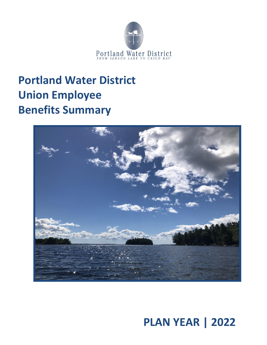

## **Portland Water District Union Employee Benefits Summary**



**PLAN YEAR | 2022**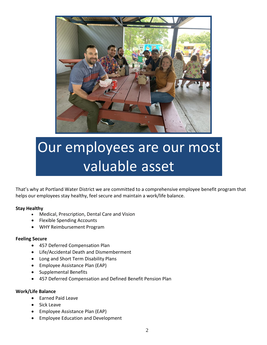

# Our employees are our most valuable asset

That's why at Portland Water District we are committed to a comprehensive employee benefit program that helps our employees stay healthy, feel secure and maintain a work/life balance.

#### **Stay Healthy**

- Medical, Prescription, Dental Care and Vision
- Flexible Spending Accounts
- WHY Reimbursement Program

#### **Feeling Secure**

- 457 Deferred Compensation Plan
- Life/Accidental Death and Dismemberment
- Long and Short Term Disability Plans
- Employee Assistance Plan (EAP)
- Supplemental Benefits
- 457 Deferred Compensation and Defined Benefit Pension Plan

#### **Work/Life Balance**

- Earned Paid Leave
- Sick Leave
- Employee Assistance Plan (EAP)
- Employee Education and Development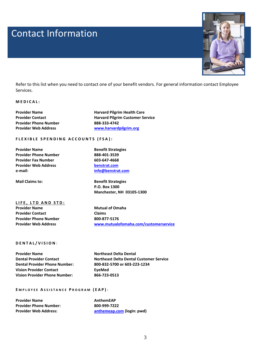## Contact Information Contact Information



Refer to this list when you need to contact one of your benefit vendors. For general information contact Employee Services.

#### **[M E D I C A L](#page-3-0) :**

| <b>Provider Name</b>         | <b>Harvard Pilgrim Health Care</b>      |
|------------------------------|-----------------------------------------|
| <b>Provider Contact</b>      | <b>Harvard Pilgrim Customer Service</b> |
| <b>Provider Phone Number</b> | 888-333-4742                            |
| <b>Provider Web Address</b>  | www.harvardpilgrim.org                  |

#### **F L E X I B L E S P E N D I N G A C C O U N T S ( F S A ) :**

**Provider Name Benefit Strategies Provider Phone Number 888-401-3539 Provider Fax Number 603-647-4668 Provider Web Address [benstrat.com](http://www.benstrat.com/) e-mail: [info@benstrat.com](mailto:info@benstrat.com)**

**Mail Claims to: Benefit Strategies P.O. Box 1300 Manchester, NH 03105-1300**

**[L I F E ,](#page-3-0) LTD A N D S T D : Provider Name Mutual of Omaha Provider Contact Claims Provider Phone Number 800-877-5176**

**Provider Web Address [www.mutualofomaha.com/customerservice](http://www.mutualofomaha.com/customerservice)**

#### **D E N T A L / V I S I O N** :

**Provider Name Northeast Delta Dental Dental Provider Phone Number: 800-832-5700 or 603-223-1234 Vision Provider Contact Figure 2 EyeMed Vision Provider Phone Number: 866-723-0513**

**Dental Provider Contact Northeast Delta Dental Customer Service**

#### **E M P L O Y E E A S S I S T A N C E P R O G R A M ( E A P )** :

| <b>Provider Name</b>          | AnthemEAP                  |
|-------------------------------|----------------------------|
| <b>Provider Phone Number:</b> | 800-999-7222               |
| <b>Provider Web Address:</b>  | anthemeap.com (login: pwd) |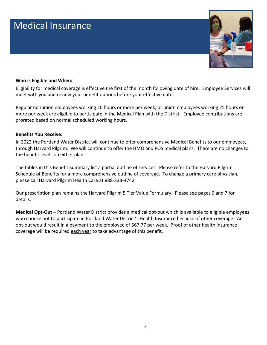## <span id="page-3-0"></span>Medical Insurance



#### **Who is Eligible and When:**

Eligibility for medical coverage is effective the first of the month following date of hire. Employee Services will meet with you and review your benefit options before your effective date.

Regular nonunion employees working 20 hours or more per week, or union employees working 25 hours or more per week are eligible to participate in the Medical Plan with the District. Employee contributions are prorated based on normal scheduled working hours.

#### **Benefits You Receive:**

In 2022 the Portland Water District will continue to offer comprehensive Medical Benefits to our employees, through Harvard Pilgrim. We will continue to offer the HMO and POS medical plans. There are no changes to the benefit levels on either plan.

The tables in this Benefit Summary list a partial outline of services. Please refer to the Harvard Pilgrim Schedule of Benefits for a more comprehensive outline of coverage. To change a primary care physician, please call Harvard Pilgrim Health Care at 888-333-4742.

Our prescription plan remains the Harvard Pilgrim 5 Tier Value Formulary. Please see pages 6 and 7 for details.

**Medical Opt-Out –** Portland Water District provides a medical opt-out which is available to eligible employees who choose not to participate in Portland Water District's Health Insurance because of other coverage. An opt-out would result in a payment to the employee of \$67.77 per week. Proof of other health insurance coverage will be required each year to take advantage of this benefit.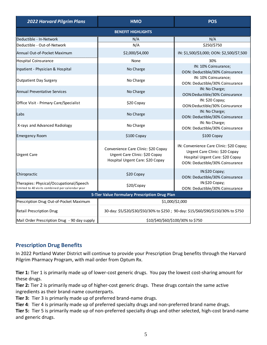| <b>2022 Harvard Pilgrim Plans</b>                                                          | <b>HMO</b>                                                                                                | <b>POS</b>                                                                                                                                        |  |  |  |  |
|--------------------------------------------------------------------------------------------|-----------------------------------------------------------------------------------------------------------|---------------------------------------------------------------------------------------------------------------------------------------------------|--|--|--|--|
| <b>BENEFIT HIGHLIGHTS</b>                                                                  |                                                                                                           |                                                                                                                                                   |  |  |  |  |
| Deductible - In-Network                                                                    | N/A                                                                                                       | N/A                                                                                                                                               |  |  |  |  |
| Deductible - Out-of-Network                                                                | N/A                                                                                                       | \$250/\$750                                                                                                                                       |  |  |  |  |
| Annual Out-of-Pocket Maximum                                                               | \$2,000/\$4,000                                                                                           | IN: \$1,500/\$3,000; OON: \$2,500/\$7,500                                                                                                         |  |  |  |  |
| Hospital Coinsurance                                                                       | None                                                                                                      | 30%                                                                                                                                               |  |  |  |  |
| Inpatient - Physician & Hospital                                                           | No Charge                                                                                                 | IN: 10% Coinsurance;<br>OON: Deductible/30% Coinsurance                                                                                           |  |  |  |  |
| Outpatient Day Surgery                                                                     | No Charge                                                                                                 | IN: 10% Coinsurance;<br>OON: Deductible/30% Coinsurance                                                                                           |  |  |  |  |
| lAnnual Preventative Services                                                              | No Charge                                                                                                 | IN: No Charge;<br>OON:Deductible/30% Coinsurance                                                                                                  |  |  |  |  |
| Office Visit - Primary Care/Specialist                                                     | \$20 Copay                                                                                                | IN: \$20 Copay;<br>OON:Deductible/30% Coinsurance                                                                                                 |  |  |  |  |
| Labs                                                                                       | No Charge                                                                                                 | IN: No Charge;<br>OON: Deductible/30% Coinsurance                                                                                                 |  |  |  |  |
| X-rays and Advanced Radiology                                                              | No Charge                                                                                                 | IN: No Charge;<br>OON: Deductible/30% Coinsurance                                                                                                 |  |  |  |  |
| Emergency Room                                                                             | \$100 Copay                                                                                               | \$100 Copay                                                                                                                                       |  |  |  |  |
| Urgent Care                                                                                | Convenience Care Clinic: \$20 Copay<br>Urgent Care Clinic: \$20 Copay<br>Hospital Urgent Care: \$20 Copay | IN: Convenience Care Clinic: \$20 Copay;<br>Urgent Care Clinic: \$20 Copay<br>Hospital Urgent Care: \$20 Copay<br>OON: Deductible/30% Coinsurance |  |  |  |  |
| Chiropractic                                                                               | \$20 Copay                                                                                                | IN:\$20 Copay;<br>OON: Deductible/30% Coinsurance                                                                                                 |  |  |  |  |
| Therapies: Physical/Occupational/Speech<br>limited to 40 visits combined per calendar year | \$20/Copay                                                                                                | IN:\$20 Copay;<br>OON: Deductible/30% Coinsurance                                                                                                 |  |  |  |  |
|                                                                                            | 5-Tier Value Formulary Prescription Drug Plan                                                             |                                                                                                                                                   |  |  |  |  |
| Prescription Drug Out-of-Pocket Maximum                                                    |                                                                                                           | \$1,000/\$2,000                                                                                                                                   |  |  |  |  |
| <b>Retail Prescription Drug</b>                                                            | 30-day: \$5/\$20/\$30/\$50/30% to \$250; 90-day: \$15/\$60/\$90/\$150/30% to \$750                        |                                                                                                                                                   |  |  |  |  |
| Mail Order Prescription Drug - 90 day supply                                               | \$10/\$40/\$60/\$100/30% to \$750                                                                         |                                                                                                                                                   |  |  |  |  |

### **Prescription Drug Benefits**

In 2022 Portland Water District will continue to provide your Prescription Drug benefits through the Harvard Pilgrim Pharmacy Program, with mail order from Optum Rx.

**Tier 1:** Tier 1 is primarily made up of lower-cost generic drugs. You pay the lowest cost-sharing amount for these drugs.

**Tier 2:** Tier 2 is primarily made up of higher-cost generic drugs. These drugs contain the same active ingredients as their brand-name counterparts.

**Tier 3:** Tier 3 is primarily made up of preferred brand-name drugs.

**Tier 4**: Tier 4 is primarily made up of preferred specialty drugs and non-preferred brand name drugs.

**Tier 5:** Tier 5 is primarily made up of non-preferred specialty drugs and other selected, high-cost brand-name and generic drugs.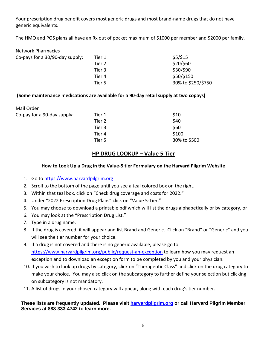Your prescription drug benefit covers most generic drugs and most brand-name drugs that do not have generic equivalents.

The HMO and POS plans all have an Rx out of pocket maximum of \$1000 per member and \$2000 per family.

| Tier 1 | \$5/\$15           |
|--------|--------------------|
| Tier 2 | \$20/\$60          |
| Tier 3 | \$30/\$90          |
| Tier 4 | \$50/\$150         |
| Tier 5 | 30% to \$250/\$750 |
|        |                    |

#### **(Some maintenance medications are available for a 90-day retail supply at two copays)**

| Mail Order                  |        |              |
|-----------------------------|--------|--------------|
| Co-pay for a 90-day supply: | Tier 1 | \$10         |
|                             | Tier 2 | \$40         |
|                             | Tier 3 | \$60         |
|                             | Tier 4 | \$100        |
|                             | Tier 5 | 30% to \$500 |

#### **HP DRUG LOOKUP – Value 5-Tier**

#### **How to Look Up a Drug in the Value-5 tier Formulary on the Harvard Pilgrim Website**

- 1. Go t[o https://www.harvardpilgrim.org](https://www.harvardpilgrim.org/)
- 2. Scroll to the bottom of the page until you see a teal colored box on the right.
- 3. Within that teal box, click on "Check drug coverage and costs for 2022."
- 4. Under "2022 Prescription Drug Plans" click on "Value 5-Tier."
- 5. You may choose to download a printable pdf which will list the drugs alphabetically or by category, or
- 6. You may look at the "Prescription Drug List."
- 7. Type in a drug name.
- 8. If the drug is covered, it will appear and list Brand and Generic. Click on "Brand" or "Generic" and you will see the tier number for your choice.
- 9. If a drug is not covered and there is no generic available, please go to <https://www.harvardpilgrim.org/public/request-an-exception> to learn how you may request an exception and to download an exception form to be completed by you and your physician.
- 10. If you wish to look up drugs by category, click on "Therapeutic Class" and click on the drug category to make your choice. You may also click on the subcategory to further define your selection but clicking on subcategory is not mandatory.
- 11. A list of drugs in your chosen category will appear, along with each drug's tier number.

#### **These lists are frequently updated. Please visit [harvardpilgrim.org](https://www.harvardpilgrim.org/) or call Harvard Pilgrim Member Services at 888-333-4742 to learn more.**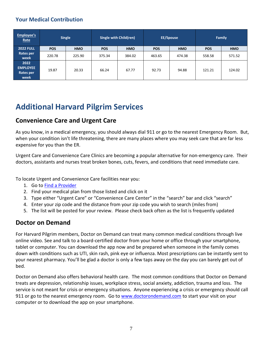### **Your Medical Contribution**

| Employee's<br>Rate                                  |            | <b>Single</b> | Single with Child(ren) |            | <b>EE/Spouse</b> |            |            | Family     |
|-----------------------------------------------------|------------|---------------|------------------------|------------|------------------|------------|------------|------------|
| <b>2022 FULL</b>                                    | <b>POS</b> | <b>HMO</b>    | <b>POS</b>             | <b>HMO</b> | <b>POS</b>       | <b>HMO</b> | <b>POS</b> | <b>HMO</b> |
| <b>Rates per</b><br>week                            | 220.78     | 225.90        | 375.34                 | 384.02     | 463.65           | 474.38     | 558.58     | 571.52     |
| 2022<br><b>EMPLOYEE</b><br><b>Rates per</b><br>week | 19.87      | 20.33         | 66.24                  | 67.77      | 92.73            | 94.88      | 121.21     | 124.02     |

## **Additional Harvard Pilgrim Services**

### **Convenience Care and Urgent Care**

As you know, in a medical emergency, you should always dial 911 or go to the nearest Emergency Room. But, when your condition isn't life threatening, there are many places where you may seek care that are far less expensive for you than the ER.

Urgent Care and Convenience Care Clinics are becoming a popular alternative for non-emergency care. Their doctors, assistants and nurses treat broken bones, cuts, fevers, and conditions that need immediate care.

To locate Urgent and Convenience Care facilities near you:

- 1. Go t[o Find a Provider](https://www.harvardpilgrim.org/public/select-a-plan)
- 2. Find your medical plan from those listed and click on it
- 3. Type either "Urgent Care" or "Convenience Care Center" in the "search" bar and click "search"
- 4. Enter your zip code and the distance from your zip code you wish to search (miles from)
- 5. The list will be posted for your review. Please check back often as the list is frequently updated

### **Doctor on Demand**

For Harvard Pilgrim members, Doctor on Demand can treat many common medical conditions through live online video. See and talk to a board-certified doctor from your home or office through your smartphone, tablet or computer. You can download the app now and be prepared when someone in the family comes down with conditions such as UTI, skin rash, pink eye or influenza. Most prescriptions can be instantly sent to your nearest pharmacy. You'll be glad a doctor is only a few taps away on the day you can barely get out of bed.

Doctor on Demand also offers behavioral health care. The most common conditions that Doctor on Demand treats are depression, relationship issues, workplace stress, social anxiety, addiction, trauma and loss. The service is not meant for crisis or emergency situations. Anyone experiencing a crisis or emergency should call 911 or go to the nearest emergency room. Go to [www.doctorondemand.com](http://www.doctorondemand.com/) to start your visit on your computer or to download the app on your smartphone.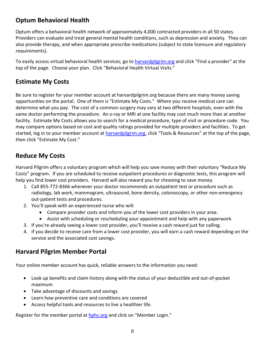## **Optum Behavioral Health**

Optum offers a behavioral health network of approximately 4,000 contracted providers in all 50 states. Providers can evaluate and treat general mental health conditions, such as depression and anxiety. They can also provide therapy, and when appropriate prescribe medications (subject to state licensure and regulatory requirements).

To easily access virtual behavioral health services, go to [harvardpilgrim.org](http://www.harvardpilgrim.org/) and click "Find a provider" at the top of the page. Choose your plan. Click "Behavioral Health Virtual Visits."

### **Estimate My Costs**

Be sure to register for your member account at harvardpilgrim.org because there are many money saving opportunities on the portal. One of them is "Estimate My Costs." Where you receive medical care can determine what you pay. The cost of a common surgery may vary at two different hospitals, even with the same doctor performing the procedure. An x-ray or MRI at one facility may cost much more than at another facility. Estimate My Costs allows you to search for a medical procedure, type of visit or procedure code. You may compare options based on cost and quality ratings provided for multiple providers and facilities. To get started, log in to your member account at [harvardpilgrim.org](http://www.harvardpilgrim.org/), click "Tools & Resources" at the top of the page, then click "Estimate My Cost."

### **Reduce My Costs**

Harvard Pilgrim offers a voluntary program which will help you save money with their voluntary "Reduce My Costs" program. If you are scheduled to receive outpatient procedures or diagnostic tests, this program will help you find lower cost providers. Harvard will also reward you for choosing to save money.

- 1. Call 855-772-8366 whenever your doctor recommends an outpatient test or procedure such as radiology, lab work, mammogram, ultrasound, bone density, colonoscopy, or other non-emergency out-patient tests and procedures.
- 2. You'll speak with an experienced nurse who will:
	- Compare provider costs and inform you of the lower cost providers in your area.
	- Assist with scheduling or rescheduling your appointment and help with any paperwork.
- 3. If you're already seeing a lower cost provider, you'll receive a cash reward just for calling.
- 4. If you decide to receive care from a lower cost provider, you will earn a cash reward depending on the service and the associated cost savings.

### **Harvard Pilgrim Member Portal**

Your online member account has quick, reliable answers to the information you need:

- Look up benefits and claim history along with the status of your deductible and out-of-pocket maximum
- Take advantage of discounts and savings
- Learn how preventive care and conditions are covered
- Access helpful tools and resources to live a healthier life.

Register for the member portal at **hphc.org** and click on "Member Login."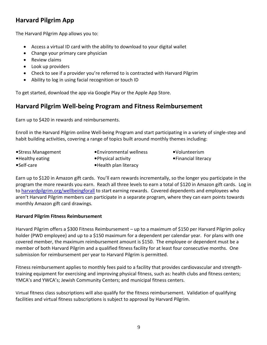### **Harvard Pilgrim App**

The Harvard Pilgrim App allows you to:

- Access a virtual ID card with the ability to download to your digital wallet
- Change your primary care physician
- Review claims
- Look up providers
- Check to see if a provider you're referred to is contracted with Harvard Pilgrim
- Ability to log in using facial recognition or touch ID

To get started, download the app via Google Play or the Apple App Store.

### **Harvard Pilgrim Well-being Program and Fitness Reimbursement**

Earn up to \$420 in rewards and reimbursements.

Enroll in the Harvard Pilgrim online Well-being Program and start participating in a variety of single-step and habit building activities, covering a range of topics built around monthly themes including:

- 
- •Stress Management •Environmental wellness •Volunteerism
- 
- •Healthy eating entitled by the extended of the extended values of the effinancial literacy
- •Self-care •Health plan literacy

Earn up to \$120 in Amazon gift cards. You'll earn rewards incrementally, so the longer you participate in the program the more rewards you earn. Reach all three levels to earn a total of \$120 in Amazon gift cards. Log in to [harvardpilgrim.org/wellbeingforall](http://www.harvardpilgrim.org/wellbeingforall) to start earning rewards. Covered dependents and employees who aren't Harvard Pilgrim members can participate in a separate program, where they can earn points towards monthly Amazon gift card drawings.

#### **Harvard Pilgrim Fitness Reimbursement**

Harvard Pilgrim offers a \$300 Fitness Reimbursement – up to a maximum of \$150 per Harvard Pilgrim policy holder (PWD employee) and up to a \$150 maximum for a dependent per calendar year. For plans with one covered member, the maximum reimbursement amount is \$150. The employee or dependent must be a member of both Harvard Pilgrim and a qualified fitness facility for at least four consecutive months. One submission for reimbursement per year to Harvard Pilgrim is permitted.

Fitness reimbursement applies to monthly fees paid to a facility that provides cardiovascular and strengthtraining equipment for exercising and improving physical fitness, such as: health clubs and fitness centers; YMCA's and YWCA's; Jewish Community Centers; and municipal fitness centers.

Virtual fitness class subscriptions will also qualify for the fitness reimbursement. Validation of qualifying facilities and virtual fitness subscriptions is subject to approval by Harvard Pilgrim.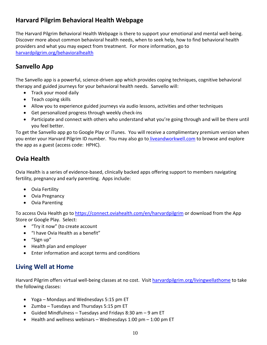## **Harvard Pilgrim Behavioral Health Webpage**

The Harvard Pilgrim Behavioral Health Webpage is there to support your emotional and mental well-being. Discover more about common behavioral health needs, when to seek help, how to find behavioral health providers and what you may expect from treatment. For more information, go to [harvardpilgrim.org/behavioralhealth](http://www.harvardpilgrim.org/behavioralhealth)

### **Sanvello App**

The Sanvello app is a powerful, science-driven app which provides coping techniques, cognitive behavioral therapy and guided journeys for your behavioral health needs. Sanvello will:

- Track your mood daily
- Teach coping skills
- Allow you to experience guided journeys via audio lessons, activities and other techniques
- Get personalized progress through weekly check-ins
- Participate and connect with others who understand what you're going through and will be there until you feel better.

To get the Sanvello app go to Google Play or iTunes. You will receive a complimentary premium version when you enter your Harvard Pilgrim ID number. You may also go to [liveandworkwell.com](http://www.liveandworkwell.com/) to browse and explore the app as a guest (access code: HPHC).

## **Ovia Health**

Ovia Health is a series of evidence-based, clinically backed apps offering support to members navigating fertility, pregnancy and early parenting. Apps include:

- Ovia Fertility
- Ovia Pregnancy
- Ovia Parenting

To access Ovia Health go to <https://connect.oviahealth.com/en/harvardpilgrim> or download from the App Store or Google Play. Select:

- "Try it now" (to create account
- "I have Ovia Health as a benefit"
- "Sign up"
- Health plan and employer
- Enter information and accept terms and conditions

### **Living Well at Home**

Harvard Pilgrim offers virtual well-being classes at no cost. Visit [harvardpilgrim.org/livingwellathome](http://www.harvardpilgrim.org/livingwellathome) to take the following classes:

- Yoga Mondays and Wednesdays 5:15 pm ET
- Zumba Tuesdays and Thursdays 5:15 pm ET
- Guided Mindfulness Tuesdays and Fridays 8:30 am  $-9$  am ET
- Health and wellness webinars Wednesdays 1:00 pm 1:00 pm ET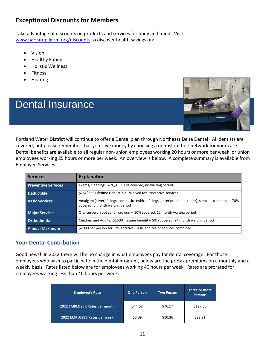### **Exceptional Discounts for Members**

Take advantage of discounts on products and services for body and mind. Visit [www.harvardpilgrim.org/discounts](http://www.harvardpilgrim.org/discounts) to discover health savings on:

- Vision
- Healthy Eating
- Holistic Wellness
- Fitness
- Hearing

## Dental Insurance



Portland Water District will continue to offer a Dental plan through Northeast Delta Dental. All dentists are covered, but please remember that you save money by choosing a dentist in their network for your care. Dental benefits are available to all regular non-union employees working 20 hours or more per week, or union employees working 25 hours or more per week. An overview is below. A complete summary is available from Employee Services.

| <b>Services</b>            | <b>Explanation</b>                                                                                                                          |
|----------------------------|---------------------------------------------------------------------------------------------------------------------------------------------|
| <b>Preventive Services</b> | Exams, cleanings, x-rays – 100% covered, no waiting period                                                                                  |
| <b>Deductible</b>          | \$75/\$225 Lifetime Deductible. Waived for Preventive services.                                                                             |
| <b>Basic Services</b>      | Amalgam (silver) fillings, composite (white) fillings (anterior and posterior), simple extractions – 70%<br>covered, 6 month waiting period |
| <b>Major Services</b>      | Oral surgery, root canal, crowns - 50% covered, 12 month waiting period                                                                     |
| Orthodontia                | Children and Adults. \$1500 lifetime benefit $-50%$ covered, 24 month waiting period                                                        |
| <b>Annual Maximum</b>      | \$2000 per person for Preventative, Basic and Major services combined                                                                       |

#### **Your Dental Contribution**

Good news! In 2022 there will be no change in what employees pay for dental coverage. For those employees who wish to participate in the dental program, below are the pretax premiums on a monthly and a weekly basis. Rates listed below are for employees working 40 hours per week. Rates are prorated for employees working less than 40 hours per week.

| <b>Employee's Rate</b>        | <b>One Person</b> | <b>Two Person</b> | Three or more<br><b>Persons</b> |
|-------------------------------|-------------------|-------------------|---------------------------------|
| 2022 EMPLOYER Rates per month | \$44.68           | \$76.17           | \$127.50                        |
| 2022 EMPLOYEE Rates per week  | \$3.09            | \$10.36           | \$22.21                         |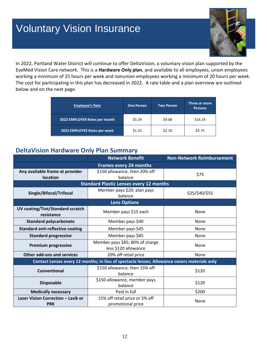## Voluntary Vision Insurance



In 2022, Portland Water District will continue to offer DeltaVision, a voluntary vision plan supported by the EyeMed Vision Care network. This is a **Hardware Only plan**, and available to all employees, union employees working a minimum of 25 hours per week and nonunion employees working a minimum of 20 hours per week. The cost for participating in this plan has decreased in 2022. A rate table and a plan overview are outlined below and on the next page.

| <b>Employee's Rate</b>        | <b>One Person</b> | <b>Two Person</b> | Three or more<br><b>Persons</b> |
|-------------------------------|-------------------|-------------------|---------------------------------|
| 2022 EMPLOYER Rates per month | \$5.29            | \$9.08            | \$16.24                         |
| 2022 EMPLOYEE Rates per week  | \$1.22            | \$2.10            | \$3.75                          |

### **DeltaVision Hardware Only Plan Summary**

|                                                  | <b>Network Benefit</b>                                                                       | <b>Non-Network Reimbursement</b> |
|--------------------------------------------------|----------------------------------------------------------------------------------------------|----------------------------------|
|                                                  | <b>Frames every 24 months</b>                                                                |                                  |
| Any available frame at provider<br>location      | \$150 allowance, then 20% off<br>balance                                                     | \$75                             |
|                                                  | <b>Standard Plastic Lenses every 12 months</b>                                               |                                  |
| Single/Bifocal/Trifocal                          | Member pays \$20; plan pays<br>balance                                                       | \$25/\$40/\$55                   |
|                                                  | <b>Lens Options</b>                                                                          |                                  |
| UV coating/Tint/Standard scratch<br>resistance   | Member pays \$15 each                                                                        | None                             |
| <b>Standard polycarbonate</b>                    | Member pays \$40                                                                             | None                             |
| <b>Standard anti-reflective coating</b>          | Member pays \$45                                                                             | None                             |
| <b>Standard progressive</b>                      | Member pays \$85                                                                             | None                             |
| <b>Premium progressive</b>                       | Member pays \$85; 80% of charge<br>less \$120 allowance                                      | None                             |
| <b>Other add-ons and services</b>                | 20% off retail price                                                                         | None                             |
|                                                  | Contact Lenses every 12 months; In lieu of spectacle lenses; Allowance covers materials only |                                  |
| <b>Conventional</b>                              | \$150 allowance, then 15% off<br>balance                                                     | \$120                            |
| <b>Disposable</b>                                | \$150 allowance, member pays<br>balance                                                      | \$120                            |
| <b>Medically necessary</b>                       | Paid in full                                                                                 | \$200                            |
| Laser Vision Correction - Lasik or<br><b>PRK</b> | 15% off retail price or 5% off<br>promotional price                                          | None                             |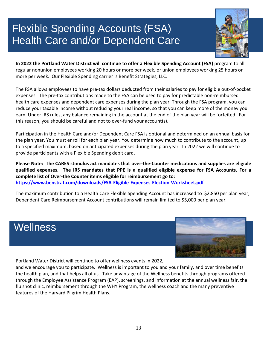## Flexible Spending Accounts (FSA) Health Care and/or Dependent Care



**In 2022 the Portland Water District will continue to offer a Flexible Spending Account (FSA)** program to all regular nonunion employees working 20 hours or more per week, or union employees working 25 hours or more per week. Our Flexible Spending carrier is Benefit Strategies, LLC.

The FSA allows employees to have pre-tax dollars deducted from their salaries to pay for eligible out-of-pocket expenses. The pre-tax contributions made to the FSA can be used to pay for predictable non-reimbursed health care expenses and dependent care expenses during the plan year. Through the FSA program, you can reduce your taxable income without reducing your real income, so that you can keep more of the money you earn. Under IRS rules, any balance remaining in the account at the end of the plan year will be forfeited. For this reason, you should be careful and not to over-fund your account(s).

Participation in the Health Care and/or Dependent Care FSA is optional and determined on an annual basis for the plan year. You must enroll for each plan year. You determine how much to contribute to the account, up to a specified maximum, based on anticipated expenses during the plan year. In 2022 we will continue to provide participants with a Flexible Spending debit card.

**Please Note: The CARES stimulus act mandates that over-the-Counter medications and supplies are eligible qualified expenses. The IRS mandates that PPE is a qualified eligible expense for FSA Accounts. For a complete list of Over-the Counter items eligible for reimbursement go to: <https://www.benstrat.com/downloads/FSA-Eligible-Expenses-Election-Worksheet.pdf>**

The maximum contribution to a Health Care Flexible Spending Account has increased to \$2,850 per plan year; Dependent Care Reimbursement Account contributions will remain limited to \$5,000 per plan year.

## **Wellness**



Portland Water District will continue to offer wellness events in 2022,

and we encourage you to participate. Wellness is important to you and your family, and over time benefits the health plan, and that helps all of us. Take advantage of the Wellness benefits through programs offered through the Employee Assistance Program (EAP), screenings, and information at the annual wellness fair, the flu shot clinic, reimbursement through the WHY Program, the wellness coach and the many preventive features of the Harvard Pilgrim Health Plans.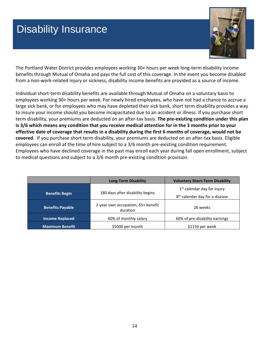## Disability Insurance



The Portland Water District provides employees working 30+ hours per week long-term disability income benefits through Mutual of Omaha and pays the full cost of this coverage. In the event you become disabled from a non-work-related injury or sickness, disability income benefits are provided as a source of income.

Individual short-term disability benefits are available through Mutual of Omaha on a voluntary basis to employees working 30+ hours per week. For newly hired employees, who have not had a chance to accrue a large sick bank, or for employees who may have depleted their sick bank, short term disability provides a way to insure your income should you become incapacitated due to an accident or illness. If you purchase short term disability, your premiums are deducted on an after-tax basis. **The pre-existing condition under this plan is 3/6 which means any condition that you receive medical attention for in the 3 months prior to your effective date of coverage that results in a disability during the first 6 months of coverage, would not be covered**. If you purchase short term disability, your premiums are deducted on an after-tax basis. Eligible employees can enroll at the time of hire subject to a 3/6 month pre-existing condition requirement. Employees who have declined coverage in the past may enroll each year during fall open enrollment, subject to medical questions and subject to a 3/6 month pre-existing condition provision.

|                         | <b>Long-Term Disability</b>                    | <b>Voluntary Short-Term Disability</b>                                      |
|-------------------------|------------------------------------------------|-----------------------------------------------------------------------------|
| <b>Benefits Begin</b>   | 180 days after disability begins               | $1st$ calendar day for injury<br>8 <sup>th</sup> calendar day for a disease |
| <b>Benefits Payable</b> | 2-year own occupation, 65+ benefit<br>duration | 26 weeks                                                                    |
| <b>Income Replaced</b>  | 60% of monthly salary                          | 60% of pre-disability earnings                                              |
| <b>Maximum Benefit</b>  | \$5000 per month                               | \$1150 per week                                                             |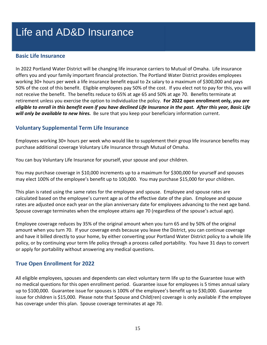## Life and AD&D Insurance

#### **Basic Life Insurance**

In 2022 Portland Water District will be changing life insurance carriers to Mutual of Omaha. Life insurance offers you and your family important financial protection. The Portland Water District provides employees working 30+ hours per week a life insurance benefit equal to 2x salary to a maximum of \$300,000 and pays 50% of the cost of this benefit. Eligible employees pay 50% of the cost. If you elect not to pay for this, you will not receive the benefit. The benefits reduce to 65% at age 65 and 50% at age 70. Benefits terminate at retirement unless you exercise the option to individualize the policy. **For 2022 open enrollment only,** *you are eligible to enroll in this benefit even if you have declined Life Insurance in the past. After this year, Basic Life will only be available to new hires.* Be sure that you keep your beneficiary information current.

#### **Voluntary Supplemental Term Life Insurance**

Employees working 30+ hours per week who would like to supplement their group life insurance benefits may purchase additional coverage Voluntary Life Insurance through Mutual of Omaha.

You can buy Voluntary Life Insurance for yourself, your spouse and your children.

You may purchase coverage in \$10,000 increments up to a maximum for \$300,000 for yourself and spouses may elect 100% of the employee's benefit up to 100,000. You may purchase \$15,000 for your children.

This plan is rated using the same rates for the employee and spouse. Employee and spouse rates are calculated based on the employee's current age as of the effective date of the plan. Employee and spouse rates are adjusted once each year on the plan anniversary date for employees advancing to the next age band. Spouse coverage terminates when the employee attains age 70 (regardless of the spouse's actual age).

Employee coverage reduces by 35% of the original amount when you turn 65 and by 50% of the original amount when you turn 70. If your coverage ends because you leave the District, you can continue coverage and have it billed directly to your home, by either converting your Portland Water District policy to a whole life policy, or by continuing your term life policy through a process called portability. You have 31 days to convert or apply for portability without answering any medical questions.

#### **True Open Enrollment for 2022**

All eligible employees, spouses and dependents can elect voluntary term life up to the Guarantee Issue with no medical questions for this open enrollment period. Guarantee issue for employees is 5 times annual salary up to \$100,000. Guarantee issue for spouses is 100% of the employee's benefit up to \$30,000. Guarantee issue for children is \$15,000. Please note that Spouse and Child(ren) coverage is only available if the employee has coverage under this plan. Spouse coverage terminates at age 70.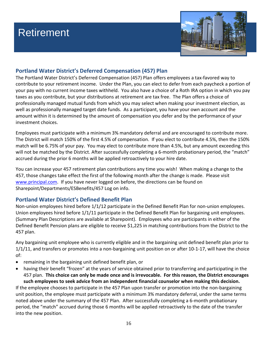## **Retirement**



### **Portland Water District's Deferred Compensation (457) Plan**

The Portland Water District's Deferred Compensation (457) Plan offers employees a tax-favored way to contribute to your retirement income. Under the Plan, you can elect to defer from each paycheck a portion of your pay with no current income taxes withheld. You also have a choice of a Roth IRA option in which you pay taxes as you contribute, but your distributions at retirement are tax free. The Plan offers a choice of professionally managed mutual funds from which you may select when making your investment election, as well as professionally managed target date funds. As a participant, you have your own account and the amount within it is determined by the amount of compensation you defer and by the performance of your investment choices.

Employees must participate with a minimum 3% mandatory deferral and are encouraged to contribute more. The District will match 150% of the first 4.5% of compensation. If you elect to contribute 4.5%, then the 150% match will be 6.75% of your pay. You may elect to contribute more than 4.5%, but any amount exceeding this will not be matched by the District. After successfully completing a 6-month probationary period, the "match" accrued during the prior 6 months will be applied retroactively to your hire date.

You can increase your 457 retirement plan contributions any time you wish! When making a change to the 457, those changes take effect the first of the following month after the change is made. Please visit [www.principal.com.](http://www.principal.com/) If you have never logged on before, the directions can be found on Sharepoint/Departments/ESBenefits/457 Log on info.

### **Portland Water District's Defined Benefit Plan**

Non-union employees hired before 1/1/12 participate in the Defined Benefit Plan for non-union employees. Union employees hired before 1/1/11 participate in the Defined Benefit Plan for bargaining unit employees. (Summary Plan Descriptions are available at Sharepoint). Employees who are participants in either of the Defined Benefit Pension plans are eligible to receive \$1,225 in matching contributions from the District to the 457 plan.

Any bargaining unit employee who is currently eligible and in the bargaining unit defined benefit plan prior to 1/1/11, and transfers or promotes into a non-bargaining unit position on or after 10-1-17, will have the choice of:

- remaining in the bargaining unit defined benefit plan, or
- having their benefit "frozen" at the years of service obtained prior to transferring and participating in the 457 plan. **This choice can only be made once and is irrevocable. For this reason, the District encourages such employees to seek advice from an independent financial counselor when making this decision.**

If the employee chooses to participate in the 457 Plan upon transfer or promotion into the non-bargaining unit position, the employee must participate with a minimum 3% mandatory deferral, under the same terms noted above under the summary of the 457 Plan. After successfully completing a 6-month probationary period, the "match" accrued during those 6 months will be applied retroactively to the date of the transfer into the new position.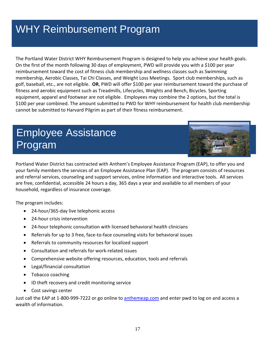## WHY Reimbursement Program

The Portland Water District WHY Reimbursement Program is designed to help you achieve your health goals. On the first of the month following 30 days of employment, PWD will provide you with a \$100 per year reimbursement toward the cost of fitness club membership and wellness classes such as Swimming membership, Aerobic Classes, Tai Chi Classes, and Weight Loss Meetings. Sport club memberships, such as golf, baseball, etc., are not eligible. **OR**, PWD will offer \$100 per year reimbursement toward the purchase of fitness and aerobic equipment such as Treadmills, Lifecycles, Weights and Bench, Bicycles. Sporting equipment, apparel and footwear are not eligible. Employees may combine the 2 options, but the total is \$100 per year combined. The amount submitted to PWD for WHY reimbursement for health club membership cannot be submitted to Harvard Pilgrim as part of their fitness reimbursement.

## Employee Assistance Program



Portland Water District has contracted with Anthem's Employee Assistance Program (EAP), to offer you and your family members the services of an Employee Assistance Plan (EAP). The program consists of resources and referral services, counseling and support services, online information and interactive tools. All services are free, confidential, accessible 24 hours a day, 365 days a year and available to all members of your household, regardless of insurance coverage.

The program includes:

- 24-hour/365-day live telephonic access
- 24-hour crisis intervention
- 24-hour telephonic consultation with licensed behavioral health clinicians
- Referrals for up to 3 free, face-to-face counseling visits for behavioral issues
- Referrals to community resources for localized support
- Consultation and referrals for work-related issues
- Comprehensive website offering resources, education, tools and referrals
- Legal/financial consultation
- Tobacco coaching
- ID theft recovery and credit monitoring service
- Cost savings center

Just call the EAP at 1-800-999-7222 or go online to **anthemeap.com** and enter pwd to log on and access a wealth of information.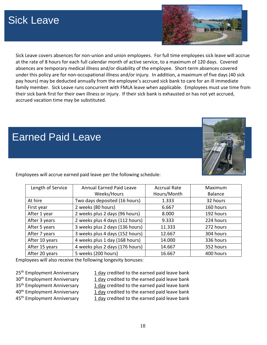## Sick Leave



Sick Leave covers absences for non-union and union employees. For full time employees sick leave will accrue at the rate of 8 hours for each full calendar month of active service, to a maximum of 120 days. Covered absences are temporary medical illness and/or disability of the employee. Short-term absences covered under this policy are for non-occupational illness and/or injury. In addition, a maximum of five days (40 sick pay hours) may be deducted annually from the employee's accrued sick bank to care for an ill immediate family member. Sick Leave runs concurrent with FMLA leave when applicable. Employees must use time from their sick bank first for their own illness or injury. If their sick bank is exhausted or has not yet accrued, accrued vacation time may be substituted.

## Earned Paid Leave



Employees will accrue earned paid leave per the following schedule:

| Length of Service | <b>Annual Earned Paid Leave</b> | <b>Accrual Rate</b> | Maximum   |
|-------------------|---------------------------------|---------------------|-----------|
|                   | Weeks/Hours                     | Hours/Month         | Balance   |
| At hire           | Two days deposited (16 hours)   | 1.333               | 32 hours  |
| First year        | 2 weeks (80 hours)              | 6.667               | 160 hours |
| After 1 year      | 2 weeks plus 2 days (96 hours)  | 8.000               | 192 hours |
| After 3 years     | 2 weeks plus 4 days (112 hours) | 9.333               | 224 hours |
| After 5 years     | 3 weeks plus 2 days (136 hours) | 11.333              | 272 hours |
| After 7 years     | 3 weeks plus 4 days (152 hours) | 12.667              | 304 hours |
| After 10 years    | 4 weeks plus 1 day (168 hours)  | 14.000              | 336 hours |
| After 15 years    | 4 weeks plus 2 days (176 hours) | 14.667              | 352 hours |
| After 20 years    | 5 weeks (200 hours)             | 16.667              | 400 hours |

Employees will also receive the following longevity bonuses:

 $25<sup>th</sup>$  Employment Anniversary  $1$  day credited to the earned paid leave bank 30<sup>th</sup> Employment Anniversary 1 day credited to the earned paid leave bank 35<sup>th</sup> Employment Anniversary 1 day credited to the earned paid leave bank 40<sup>th</sup> Employment Anniversary 1 day credited to the earned paid leave bank 45<sup>th</sup> Employment Anniversary 1 day credited to the earned paid leave bank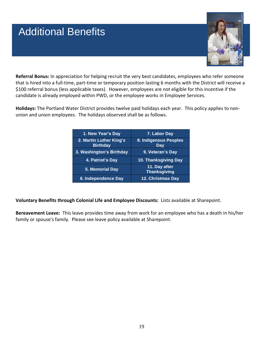## Additional Benefits



**Referral Bonus:** In appreciation for helping recruit the very best candidates, employees who refer someone that is hired into a full-time, part-time or temporary position lasting 6 months with the District will receive a \$100 referral bonus (less applicable taxes). However, employees are not eligible for this incentive if the candidate is already employed within PWD, or the employee works in Employee Services.

**Holidays:** The Portland Water District provides twelve paid holidays each year. This policy applies to nonunion and union employees. The holidays observed shall be as follows.

| 1. New Year's Day                          | 7. Labor Day                         |
|--------------------------------------------|--------------------------------------|
| 2. Martin Luther King's<br><b>Birthday</b> | 8. Indigenous Peoples<br>Day         |
| 3. Washington's Birthday                   | 9. Veteran's Day                     |
| 4. Patriot's Day                           | 10. Thanksgiving Day                 |
| 5. Memorial Day                            | 11. Day after<br><b>Thanksgiving</b> |
| 6. Independence Day                        | 12. Christmas Day                    |

**Voluntary Benefits through Colonial Life and Employee Discounts:** Lists available at Sharepoint.

**Bereavement Leave:** This leave provides time away from work for an employee who has a death in his/her family or spouse's family. Please see leave policy available at Sharepoint.